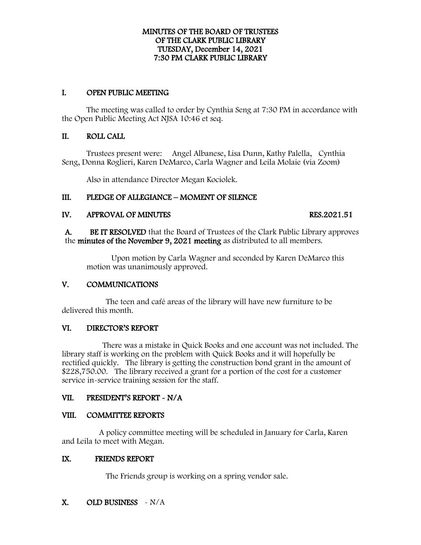## MINUTES OF THE BOARD OF TRUSTEES OF THE CLARK PUBLIC LIBRARY TUESDAY, December 14, 2021 7:30 PM CLARK PUBLIC LIBRARY

# I. OPEN PUBLIC MEETING

The meeting was called to order by Cynthia Seng at 7:30 PM in accordance with the Open Public Meeting Act NJSA 10:46 et seq.

# II. ROLL CALL

Trustees present were: Angel Albanese, Lisa Dunn, Kathy Palella, Cynthia Seng, Donna Roglieri, Karen DeMarco, Carla Wagner and Leila Molaie (via Zoom)

Also in attendance Director Megan Kociolek.

# III. PLEDGE OF ALLEGIANCE – MOMENT OF SILENCE

# IV. APPROVAL OF MINUTES RES.2021.51

A. BE IT RESOLVED that the Board of Trustees of the Clark Public Library approves the minutes of the November 9, 2021 meeting as distributed to all members.

Upon motion by Carla Wagner and seconded by Karen DeMarco this motion was unanimously approved.

# V. COMMUNICATIONS

 The teen and café areas of the library will have new furniture to be delivered this month.

# VI. DIRECTOR'S REPORT

 There was a mistake in Quick Books and one account was not included. The library staff is working on the problem with Quick Books and it will hopefully be rectified quickly. The library is getting the construction bond grant in the amount of \$228,750.00. The library received a grant for a portion of the cost for a customer service in-service training session for the staff.

# VII. PRESIDENT'S REPORT - N/A

# VIII. COMMITTEE REPORTS

 A policy committee meeting will be scheduled in January for Carla, Karen and Leila to meet with Megan.

# IX. FRIENDS REPORT

The Friends group is working on a spring vendor sale.

# X. OLD BUSINESS - N/A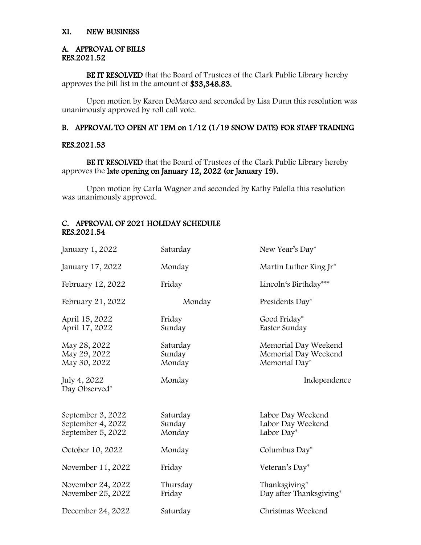# XI. NEW BUSINESS

#### A. APPROVAL OF BILLS RES.2021.52

BE IT RESOLVED that the Board of Trustees of the Clark Public Library hereby approves the bill list in the amount of \$33,348.83.

Upon motion by Karen DeMarco and seconded by Lisa Dunn this resolution was unanimously approved by roll call vote.

# B. APPROVAL TO OPEN AT 1PM on 1/12 (1/19 SNOW DATE) FOR STAFF TRAINING

### RES.2021.53

BE IT RESOLVED that the Board of Trustees of the Clark Public Library hereby approves the late opening on January 12, 2022 (or January 19).

Upon motion by Carla Wagner and seconded by Kathy Palella this resolution was unanimously approved.

## C. APPROVAL OF 2021 HOLIDAY SCHEDULE RES.2021.54

| January 1, 2022                                             | Saturday                     | New Year's Day*                                               |
|-------------------------------------------------------------|------------------------------|---------------------------------------------------------------|
| January 17, 2022                                            | Monday                       | Martin Luther King $Ir^*$                                     |
| February 12, 2022                                           | Friday                       | Lincoln's Birthday***                                         |
| February 21, 2022                                           | Monday                       | Presidents Day*                                               |
| April 15, 2022<br>April 17, 2022                            | Friday<br>Sunday             | Good Friday*<br>Easter Sunday                                 |
| May 28, 2022<br>May 29, 2022<br>May 30, 2022                | Saturday<br>Sunday<br>Monday | Memorial Day Weekend<br>Memorial Day Weekend<br>Memorial Day* |
| July 4, 2022<br>Day Observed*                               | Monday                       | Independence                                                  |
| September 3, 2022<br>September 4, 2022<br>September 5, 2022 | Saturday<br>Sunday<br>Monday | Labor Day Weekend<br>Labor Day Weekend<br>Labor Day*          |
| October 10, 2022                                            | Monday                       | Columbus Day*                                                 |
| November 11, 2022                                           | Friday                       | Veteran's Day*                                                |
| November 24, 2022<br>November 25, 2022                      | Thursday<br>Friday           | Thanksgiving*<br>Day after Thanksgiving*                      |
| December 24, 2022                                           | Saturday                     | Christmas Weekend                                             |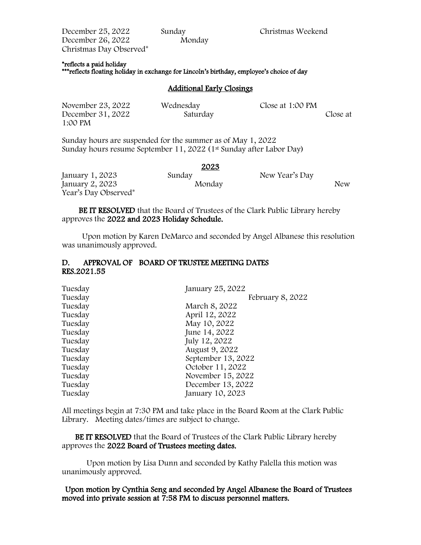December 25, 2022 Sunday Christmas Weekend December 26, 2022 Monday Christmas Day Observed\*

#### \*reflects a paid holiday

\*\*\*reflects floating holiday in exchange for Lincoln's birthday, employee's choice of day

## Additional Early Closings

| November 23, 2022 | Wednesday | Close at 1:00 PM |          |
|-------------------|-----------|------------------|----------|
| December 31, 2022 | Saturday  |                  | Close at |
| 1:00 PM           |           |                  |          |

Sunday hours are suspended for the summer as of May 1, 2022 Sunday hours resume September 11, 2022 (1<sup>st</sup> Sunday after Labor Day)

|                      | 2023   |                |     |
|----------------------|--------|----------------|-----|
| January 1, 2023      | Sunday | New Year's Day |     |
| January 2, 2023      | Monday |                | New |
| Year's Day Observed* |        |                |     |

 BE IT RESOLVED that the Board of Trustees of the Clark Public Library hereby approves the 2022 and 2023 Holiday Schedule.

 Upon motion by Karen DeMarco and seconded by Angel Albanese this resolution was unanimously approved.

## D. APPROVAL OF BOARD OF TRUSTEE MEETING DATES RES.2021.55

| Tuesday | January 25, 2022   |
|---------|--------------------|
| Tuesday | February 8, 2022   |
| Tuesday | March 8, 2022      |
| Tuesday | April 12, 2022     |
| Tuesday | May 10, 2022       |
| Tuesday | June 14, 2022      |
| Tuesday | July 12, 2022      |
| Tuesday | August 9, 2022     |
| Tuesday | September 13, 2022 |
| Tuesday | October 11, 2022   |
| Tuesday | November 15, 2022  |
| Tuesday | December 13, 2022  |
| Tuesday | January 10, 2023   |

All meetings begin at 7:30 PM and take place in the Board Room at the Clark Public Library. Meeting dates/times are subject to change.

 BE IT RESOLVED that the Board of Trustees of the Clark Public Library hereby approves the 2022 Board of Trustees meeting dates.

Upon motion by Lisa Dunn and seconded by Kathy Palella this motion was unanimously approved.

Upon motion by Cynthia Seng and seconded by Angel Albanese the Board of Trustees moved into private session at 7:58 PM to discuss personnel matters.